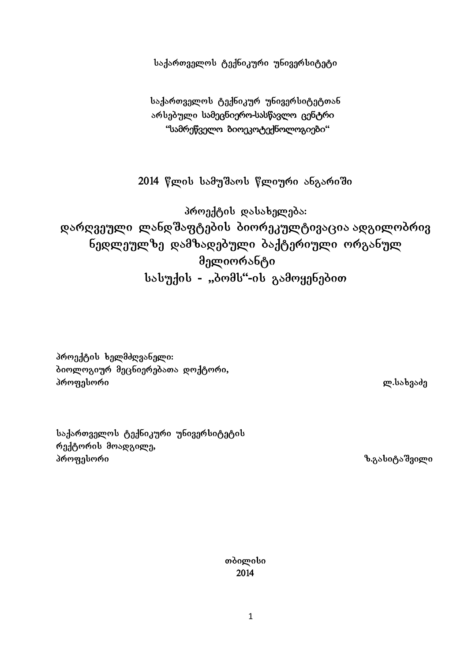საქართველოს ტექნიკური უნივერსიტეტი

საქართველოს ტექნიკურ უნივერსიტეტთან არსებული სამეცნიერო-სასწავლო ცენტრი "სამრეწველო ბიოეკოტექნოლოგიები"

2014 წლის სამუშაოს წლიური ანგარიში

პროექტის დასახელება: დარღვეული ლანდშაფტების ბიორეკულტივაცია ადგილობრივ ნედლეულზე დამზადებული ბაქტერიული ორგანულ მელიორანტი სასუქის - "პომს"-ის გამოყენებით

პროექტის ხელმძღვანელი: ბიოლოგიურ მეცნიერებათა დოქტორი,  $\delta$ როფესორი სასალების სასალების სასალების სასალების სასალების სასალების სასალების სასალების სასალების სასალებ

საქართველოს ტექნიკური უნივერსიტეტის რექტორის მოადგილე, პროფესორი — — — — — — — — — — — — — — ზ.გასიტაშვილი

თბილისი 2014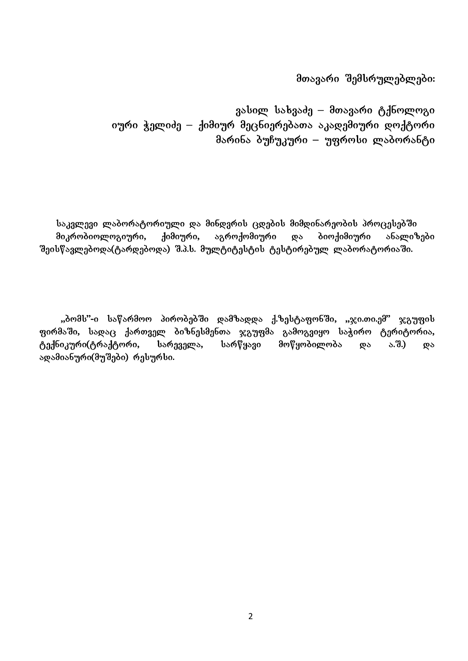მთავარი შემსრულებლები:

გასილ სახვაძე – მთავარი ტქნოლოგი იური ჭელიძე – ქიმიურ მეცნიერებათა აკადემიური დოქტორი მარინა ბუჩუკური – უფროსი ლაბორანტი

საკვლევი ლაბორატორიული და მინდვრის ცდების მიმდინარეობის პროცესებში მიკრობიოლოგიური, ქიმიური, აგროქომიური და ბიოქიმიური ანალიზები შეისწავლებოდა(ტარდებოდა) შ.პ.ს. მულტიტესტის ტესტირებულ ლაბორატორიაში.

"პომს"-ი საწარმოო პირობებში დამზადდა ქ.ზესტაფონში, "ჯი.თი.ემ" ჯგუფის gირმაში, სადაც ქართველ ბიზნესმენთა ჯგუფმა გამოგვიყო საჭირო ტერიტორია, ტექნიკური(ტრაქტორი, სარეველა, სარწყავი მოწყობილობა და ა.შ.) და ადამიანური(მუშები) რესურსი.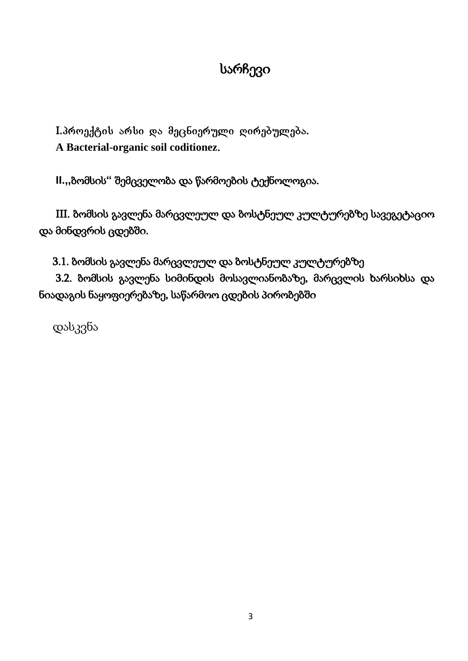# სარჩევი

I. პროექტის არსი და მეცნიერული ღირებულება. **A Bacterial-organic soil coditionez**.

**II.,,**ბომსის**"** შემცველობა და წარმოების ტექნოლოგია.

III. ბომსის გავლენა მარცვლეულ და ბოსტნეულ კულტურებზე სავეგეტაციო და მინდვრის ცდებში.

3.1. ბომსის გავლენა მარცვლეულ და ბოსტნეულ კულტურებზე

3.2. ბომსის გავლენა სიმინდის მოსავლიანობაზე, მარცვლის ხარსიხსა და ნიადაგის ნაყოფიერებაზე, საწარმოო ცდების პირობებში

დასკვნა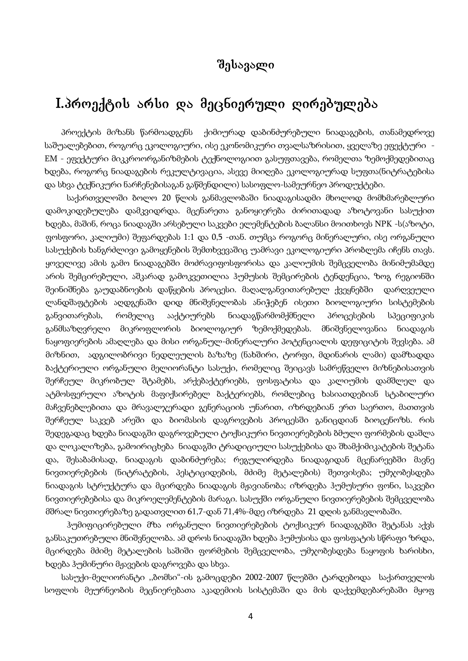# შესავალი

# I.პროექტის არსი და მეცნიერული ღირებულება

პროექტის მიზანს წარმოადგენს ქიმიურად დაბინძურებული ნიადაგების, თანამედროვე საშუალებებით, როგორც ეკოლოგიური, ისე ეკონომიკური თვალსაზრისით, ყველაზე ეფექტური -EM - ეფექტური მიკკროორგანიზმების ტექნოლოგიით გასუფთავება, რომელთა ზემოქმედებითაც ხდება, როგორც ნიადაგების რეკულტივაცია, ასევე მიიღება ეკოლოგიურად სუფთა(ნიტრატებისა და სხვა ტექნიკური ნარჩენებისაგან გაწმენდილი) სასოფლო-სამეურნეო პროდუქტები.

საქართველოში ბოლო 20 წლის განმავლობაში ნიადაგისადმი მხოლოდ მომხმარებლური დამოკიდებულება დამკვიდრდა. მცენარეთა განოყიერება ძირითადად აზოტოვანი სასუქით ხდება, მაშინ, როცა ნიადაგში არსებული საკვები ელემენტების ბალანსი მოითხოვს NPK -ს(აზოტი, ფოსფორი, კალიუმი) შეფარდებას 1:1 და 0,5 -თან. თუმცა როგორც მინერალური, ისე ორგანული სასუქების ხანგრძლივი გამოყენების შემთხვევაშიც უამრავი ეკოლოგიური პრობლემა იჩენს თავს. ყოველივე ამის გამო ნიადაგებში მოძრავიფოსფორისა და კალიუმის შემცველობა მინიმუმამდე არის შემცირებული, აშკარად გამოკვეთილია ჰუმუსის შემცირების ტენდენცია, ზოგ რეგიონში შეინიშნება გაუდაბნოების დაწყების პროცესი. მაღალგანვითარებულ ქვეყნებში დარღვეული ლანდშაფტების აღდგენაში დიდ მნიშვნელობას ანიჭებენ ისეთი ბიოლოგიური სისტემების განვითარებას, რომელიც ააქტიურებს ნიადაგწარმომქმნელი პროცესების სპეციფიკის განმსაზღვრელი მიკროფლორის ბიოლოგიურ ზემოქმედებას. მნიშვნელოვანია ნიადაგის ნაყოფიერების ამაღლება და მისი ორგანულ-მინერალური პოტენციალის დეფიციტის შევსება. ამ მიზნით, ადგილობრივი ნედლეულის ბაზაზე (ნახშირი, ტორფი, მდინარის ლამი) დამზადდა ბაქტერიული ორგანული მელიორანტი სასუქი, რომელიც შეიცავს სამრეწველო მიზნებისათვის შერჩეულ მიკრობულ შტამებს, არქებაქტერიებს, ფოსფატისა და კალიუმის დამშლელ და ატმოსფერული აზოტის მაფიქსირებელ ბაქტერიებს, რომლებიც ხასიათდებიან სტაბილური მაჩვენებლებითა და მრავალჯერადი გენერაციის უნარით, იზრდებიან ერთ საერთო, მათთვის შერჩეულ საკვებ არეში და ბიომასის დაგროვების პროცესში განიცდიან ბიოცენოზს. რის შედეგადაც ხდება ნიადაგში დაგროვებული ტოქსიკური ნივთიერებების ბმული ფორმების დაშლა და ლოკალიზება, გამოირიცხება ნიადაგში ტრადიციული სასუქებისა და შხამქიმიკატების შეტანა და, შესაბამისად, ნიადაგის დაბინძურება; რეგულირდება ნიადაგიდან მცენარეებში მავნე ნივთიერებების (ნიტრატების, პესტიციდების, მძიმე მეტალების) შეთვისება; უმჯობესდება ნიადაგის სტრუქტურა და მცირდება ნიადაგის მჟავიანობა; იზრდება ჰუმუსური ფონი, საკვები ნივთიერებებისა და მიკროელემენტების მარაგი. სასუქში ორგანული ნივთიერებების შემცველობა მშრალ ნივთიერებაზე გადათვლით 61,7-დან 71,4%-მდე იზრდება 21 დღის განმავლობაში.

ჰუმიფიცირებული მზა ორგანული ნივთიერებების ტოქსიკურ ნიადაგებში შეტანას აქვს განსაკუთრებული მნიშვნელობა. ამ დროს ნიადაგში ხდება ჰუმუსისა და ფოსფატის სწრაფი ზრდა, მცირდება მძიმე მეტალების საშიში ფორმების შემცველობა, უმჯობესდება ნაყოფის ხარისხი, ხდება ჰუმინური მჟავების დაგროვება და სხვა.

სასუქი-მელიორანტი ,,ბომსი"-ის გამოცდები 2002-2007 წლებში ტარდებოდა საქართველოს სოფლის მეურნეობის მეცნიერებათა აკადემიის სისტემაში და მის დაქვემდებარებაში მყოფ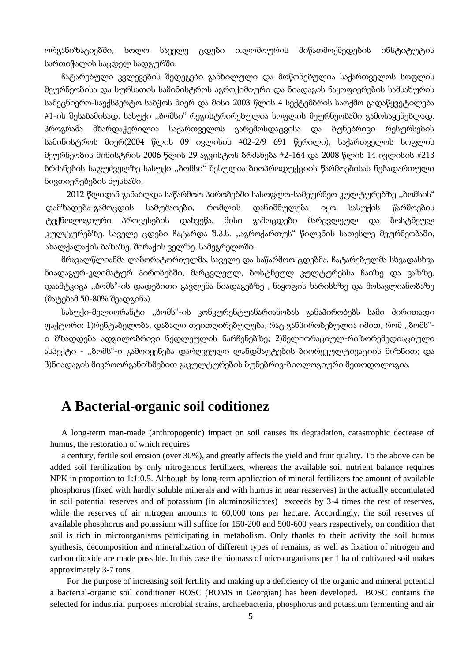ორგანიზაციებში, ხოლო საველე ცდები ი.ლომოურის მიწათმოქმედების ინსტიტუტის სართიჭალის საცდელ სადგურში.

ჩატარებული კვლევების შედეგები განხილული და მოწონებულია საქართველოს სოფლის მეურნეობისა და სურსათის სამინისტროს აგროქიმიური და ნიადაგის ნაყოფიერების სამსახურის სამეცნიერო-საექსპერტო საბჭოს მიერ და მისი 2003 წლის 4 სექტემბრის საოქმო გადაწყვეტილება #1-ის შესაბამისად, სასუქი ,,ბომსი" რეგისტრირებულია სოფლის მეურნეობაში გამოსაყენებლად. პროგრამა მხარდაჭერილია საქართველოს გარემოსდაცვისა და ბუნებრივი რესურსების სამინისტროს მიერ(2004 წლის 09 ივლისის #02-2/9 691 წერილი), საქართველოს სოფლის მეურნეობის მინისტრის 2006 წლის 29 აგვისტოს ბრძანება #2-164 და 2008 წლის 14 ივლისის #213 ბრძანების საფუძველზე სასუქი ,,ბომსი" შესულია ბიოპროდუქციის წარმოებისას ნებადართული ნივთიერებების ნუსხაში.

2012 წლიდან განახლდა საწარმოო პირობებში სასოფლო-სამეურნეო კულტურებზე ,,ბომსის" დამზადება-გამოცდის სამუშაოები, რომლის დანიშნულება იყო სასუქის წარმოების ტექნოლოგიური პროცესების დახვეწა, მისი გამოცდები მარცვლეულ და ბოსტნეულ კულტურებზე. საველე ცდები ჩატარდა შ.პ.ს. ,,აგროქართუს" წილკნის სათესლე მეურნეობაში, ახალქალაქის ბაზაზე, შირაქის ველზე, სამეგრელოში.

მრავალწლიანმა ლაბორატორიულმა, საველე და საწარმოო ცდებმა, ჩატარებულმა სხვადასხვა ნიადაგურ-კლიმატურ პირობებში, მარცვლეულ, ბოსტნეულ კულტურებსა ჩაიზე და ვაზზე, დაამტკიცა ,,ბომს"-ის დადებითი გავლენა ნიადაგებზე , ნაყოფის ხარისხზე და მოსავლიანობაზე (მატებამ 50-80% შეადგინა).

სასუქი-მელიორანტი ,,ბომს"-ის კონკურენტუანარიანობას განაპირობებს სამი ძირითადი ფაქტორი: 1)რენტაბელობა, დაბალი თვითღირებულება, რაც განპირობებულია იმით, რომ ,,ბომს" ი მზადდება ადგილობრივი ნედლეულის ნარჩენებზე; 2)მელიორაციულ-რიზორემედიაციული ასპექტი - ,,ბომს"-ი გამოიყენება დარღვეული ლანდშაფტების ბიორეკულტივაციის მიზნით; და 3)ნიადაგის მიკროორგანიზმებით გაკულტურების ბუნებრივ-ბიოლოგიური მეთოდოლოგია.

# **A Bacterial-organic soil coditionez**

A long-term man-made (anthropogenic) impact on soil causes its degradation, catastrophic decrease of humus, the restoration of which requires

a century, fertile soil erosion (over 30%), and greatly affects the yield and fruit quality. To the above can be added soil fertilization by only nitrogenous fertilizers, whereas the available soil nutrient balance requires NPK in proportion to 1:1:0.5. Although by long-term application of mineral fertilizers the amount of available phosphorus (fixed with hardly soluble minerals and with humus in near reaserves) in the actually accumulated in soil potential reserves and of potassium (in aluminosilicates) exceeds by 3-4 times the rest of reserves, while the reserves of air nitrogen amounts to 60,000 tons per hectare. Accordingly, the soil reserves of available phosphorus and potassium will suffice for 150-200 and 500-600 years respectively, on condition that soil is rich in microorganisms participating in metabolism. Only thanks to their activity the soil humus synthesis, decomposition and mineralization of different types of remains, as well as fixation of nitrogen and carbon dioxide are made possible. In this case the biomass of microorganisms per 1 ha of cultivated soil makes approximately 3-7 tons.

For the purpose of increasing soil fertility and making up a deficiency of the organic and mineral potential a bacterial-organic soil conditioner BOSC (BOMS in Georgian) has been developed. BOSC contains the selected for industrial purposes microbial strains, archaebacteria, phosphorus and potassium fermenting and air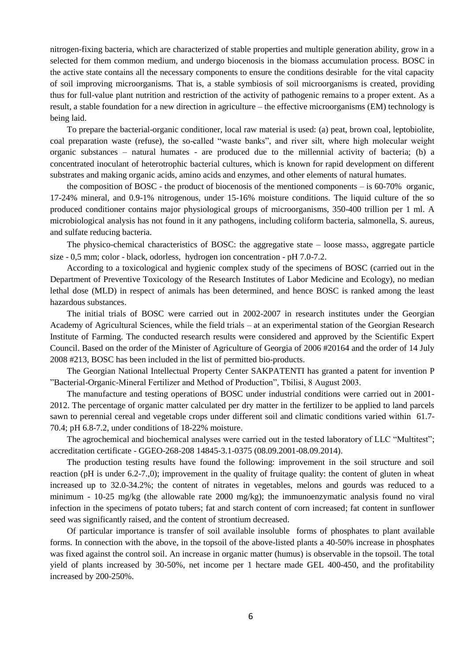nitrogen-fixing bacteria, which are characterized of stable properties and multiple generation ability, grow in a selected for them common medium, and undergo biocenosis in the biomass accumulation process. BOSC in the active state contains all the necessary components to ensure the conditions desirable for the vital capacity of soil improving microorganisms. That is, a stable symbiosis of soil microorganisms is created, providing thus for full-value plant nutrition and restriction of the activity of pathogenic remains to a proper extent. As a result, a stable foundation for a new direction in agriculture – the effective microorganisms (EM) technology is being laid.

To prepare the bacterial-organic conditioner, local raw material is used: (a) peat, brown coal, leptobiolite, coal preparation waste (refuse), the so-called "waste banks", and river silt, where high molecular weight organic substances – natural humates - are produced due to the millennial activity of bacteria; (b) a concentrated inoculant of heterotrophic bacterial cultures, which is known for rapid development on different substrates and making organic acids, amino acids and enzymes, and other elements of natural humates.

the composition of BOSC - the product of biocenosis of the mentioned components  $-$  is 60-70% organic, 17-24% mineral, and 0.9-1% nitrogenous, under 15-16% moisture conditions. The liquid culture of the so produced conditioner contains major physiological groups of microorganisms, 350-400 trillion per 1 ml. A microbiological analysis has not found in it any pathogens, including coliform bacteria, salmonella, S. aureus, and sulfate reducing bacteria.

The physico-chemical characteristics of BOSC: the aggregative state – loose massა, aggregate particle size - 0,5 mm; color - black, odorless, hydrogen ion concentration - pH 7.0-7.2.

According to a toxicological and hygienic complex study of the specimens of BOSC (carried out in the Department of Preventive Toxicology of the Research Institutes of Labor Medicine and Ecology), no median lethal dose (MLD) in respect of animals has been determined, and hence BOSC is ranked among the least hazardous substances.

The initial trials of BOSC were carried out in 2002-2007 in research institutes under the Georgian Academy of Agricultural Sciences, while the field trials – at an experimental station of the Georgian Research Institute of Farming. The conducted research results were considered and approved by the Scientific Expert Council. Based on the order of the Minister of Agriculture of Georgia of 2006 #20164 and the order of 14 July 2008 #213, BOSC has been included in the list of permitted bio-products.

The Georgian National Intellectual Property Center SAKPATENTI has granted a patent for invention P "Bacterial-Organic-Mineral Fertilizer and Method of Production", Tbilisi, 8 August 2003.

The manufacture and testing operations of BOSC under industrial conditions were carried out in 2001- 2012. The percentage of organic matter calculated per dry matter in the fertilizer to be applied to land parcels sawn to perennial cereal and vegetable crops under different soil and climatic conditions varied within 61.7- 70.4; pH 6.8-7.2, under conditions of 18-22% moisture.

The agrochemical and biochemical analyses were carried out in the tested laboratory of LLC "Multitest"; accreditation certificate - GGEO-268-208 14845-3.1-0375 (08.09.2001-08.09.2014).

The production testing results have found the following: improvement in the soil structure and soil reaction (pH is under 6.2-7.,0); improvement in the quality of fruitage quality: the content of gluten in wheat increased up to 32.0-34.2%; the content of nitrates in vegetables, melons and gourds was reduced to a minimum - 10-25 mg/kg (the allowable rate 2000 mg/kg); the immunoenzymatic analysis found no viral infection in the specimens of potato tubers; fat and starch content of corn increased; fat content in sunflower seed was significantly raised, and the content of strontium decreased.

Of particular importance is transfer of soil available insoluble forms of phosphates to plant available forms. In connection with the above, in the topsoil of the above-listed plants a 40-50% increase in phosphates was fixed against the control soil. An increase in organic matter (humus) is observable in the topsoil. The total yield of plants increased by 30-50%, net income per 1 hectare made GEL 400-450, and the profitability increased by 200-250%.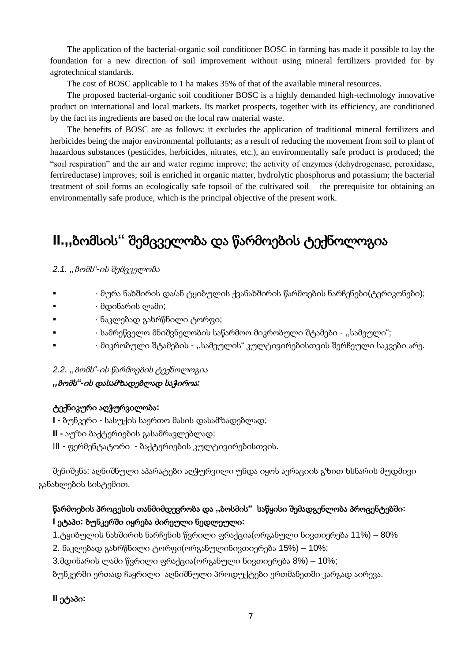The application of the bacterial-organic soil conditioner BOSC in farming has made it possible to lay the foundation for a new direction of soil improvement without using mineral fertilizers provided for by agrotechnical standards.

The cost of BOSC applicable to 1 ha makes 35% of that of the available mineral resources.

The proposed bacterial-organic soil conditioner BOSC is a highly demanded high-technology innovative product on international and local markets. Its market prospects, together with its efficiency, are conditioned by the fact its ingredients are based on the local raw material waste.

The benefits of BOSC are as follows: it excludes the application of traditional mineral fertilizers and herbicides being the major environmental pollutants; as a result of reducing the movement from soil to plant of hazardous substances (pesticides, herbicides, nitrates, etc.), an environmentally safe product is produced; the "soil respiration" and the air and water regime improve; the activity of enzymes (dehydrogenase, peroxidase, ferrireductase) improves; soil is enriched in organic matter, hydrolytic phosphorus and potassium; the bacterial treatment of soil forms an ecologically safe topsoil of the cultivated soil – the prerequisite for obtaining an environmentally safe produce, which is the principal objective of the present work.

# **II.,,**ბომსის**"** შემცველობა და წარმოების ტექნოლოგია

*2.1. ,,*ბომს*"-*ის შემცველობა

- · მურა ნახშირის და/ან ტყიბულის ქვანახშირის წარმოების ნარჩენები(ტერიკონები);
- · მდინარის ლამი;
- · ნაკლებად გახრწნილი ტორფი;
- · სამრეწველო მნიშვნელობის საწარმოო მიკრობული შტამები ,,სამეული";
- · მიკრობული შტამების ,,სამეულის" კულტივირებისთვის შერჩეული საკვები არე.

#### *2.2. ,,*ბომს*"-*ის წარმოების ტექნოლოგია

#### *,,*ბომს*"-*ის დასამზადებლად საჭიროა*:*

#### ტექნიკური აღჭურვილობა**:**

- **I -** ბუნკერი სასუქის საერთო მასის დასამზადებლად;
- **II -** აუზი ბაქტერიების გასამრავლებლად;
- III ფერმენტატორი ბაქტერიების კულტივირებისთვის.

შენიშვნა: აღნიშნული აპარატები აღჭურვილი უნდა იყოს აერაციის გზით ხსნარის მუდმივი განახლების სისტემით.

# წარმოების პროცესის თანმიმდევრობა და **,,**ბოსმის**"** საწყისი შემადგენლობა პროცენტებში**: I** ეტაპი**:** ბუნკერში იყრება ძირეული ნედლეული**:**

- 1.ტყიბულის ნახშირის ნარჩენის წვრილი ფრაქცია(ორგანული ნივთიერება 11%) 80%
- 2. ნაკლებად გახრწნილი ტორფი(ორგანულინივთიერება 15%) 10%;
- 3.მდინარის ლამი წვრილი ფრაქცია(ორგანული ნივთიერება 8%) 10%;

ბუნკერში ერთად ჩაყრილი აღნიშნული პროდუქტები ერთმანეთში კარგად აირევა.

#### **II** ეტაპი**:**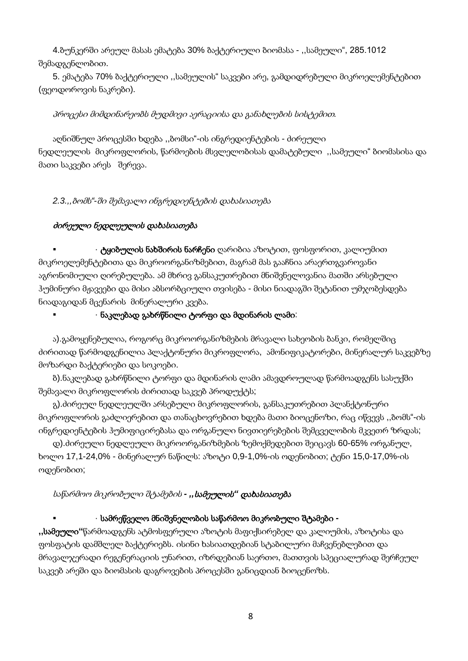4.ბუნკერში არეულ მასას ემატება 30% ბაქტერიული ბიომასა - ,,სამეული", 285.1012 შემადგენლობით.

5. ემატება 70% ბაქტერიული ,,სამეულის" საკვები არე, გამდიდრებული მიკროელემენტებით (ფეოდოროვის ნაკრები).

## პროცესი მიმდინარეობს მუდმივი აერაციისა და განახლების სისტემით*.*

აღნიშნულ პროცესში ხდება ,,ბომსი"-ის ინგრედიენტების - ძირეული ნედლეულის მიკროფლორის, წარმოების მსვლელობისას დამატებული ,,სამეული" ბიომასისა და მათი საკვები არეს შერევა.

*2.3.,,*ბომს*"-*ში შემავალი ინგრედიენტების დახასიათება

# ძირეული ნედლეულის დახასიათება

 · ტყიბულის ნახშირის ნარჩენი ღარიბია აზოტით, ფოსფორით, კალიუმით მიკროელემენტებითა და მიკროორგანიზმებით, მაგრამ მას გააჩნია არაერთგვაროვანი აგრონომიული ღირებულება. ამ მხრივ განსაკუთრებით მნიშვნელოვანია მათში არსებული ჰუმინური მჟავეები და მისი აბსორბციული თვისება - მისი ნიადაგში შეტანით უმჯობესდება ნიადაგიდან მცენარის მინერალური კვება.

### · ნაკლებად გახრწნილი ტორფი და მდინარის ლამი:

ა).გამოყენებულია, როგორც მიკროორგანიზმების მრავალი სახეობის ბანკი, რომელშიც ძირითად წარმოდგენილია პლაქტონური მიკროფლორა, ამონიფიკატორები, მინერალურ საკვებზე მოზარდი ბაქტერიები და სოკოები.

ბ).ნაკლებად გახრწნილი ტორფი და მდინარის ლამი ამავდროულად წარმოადგენს სასუქში შემავალი მიკროფლორის ძირითად საკვებ პროდუქტს;

გ).ძირეულ ნედლეულში არსებული მიკროფლორის, განსაკუთრებით პლანქტონური მიკროფლორის გაძლიერებით და თანაცხოვრებით ხდება მათი ბიოცენოზი, რაც იწვევს ,,ბომს"-ის ინგრედიენტების ჰუმიფიცირებასა და ორგანული ნივთიერებების შემცველობის მკვეთრ ზრდას;

დ).ძირეული ნედლეული მიკროორგანიზმების ზემოქმედებით შეიცავს 60-65% ორგანულ, ხოლო 17,1-24,0% - მინერალურ ნაწილს: აზოტი 0,9-1,0%-ის ოდენობით; ტენი 15,0-17,0%-ის ოდენობით;

# საწარმოო მიკრობული შტამების *- ,,*სამეულის*"* დახასიათება

# · სამრეწველო მნიშვნელობის საწარმოო მიკრობული შტამები **-**

**,,**სამეული**"**წარმოადგენს ატმოსფერული აზოტის მაფიქსირებელ და კალიუმის, აზოტისა და ფოსფატის დამშლელ ბაქტერიებს. ისინი ხასიათდებიან სტაბილური მაჩვენებლებით და მრავალჯერადი რეგენერაციის უნარით, იზრდებიან საერთო, მათთვის სპეციალურად შერჩეულ საკვებ არეში და ბიომასის დაგროვების პროცესში განიცდიან ბიოცენოზს.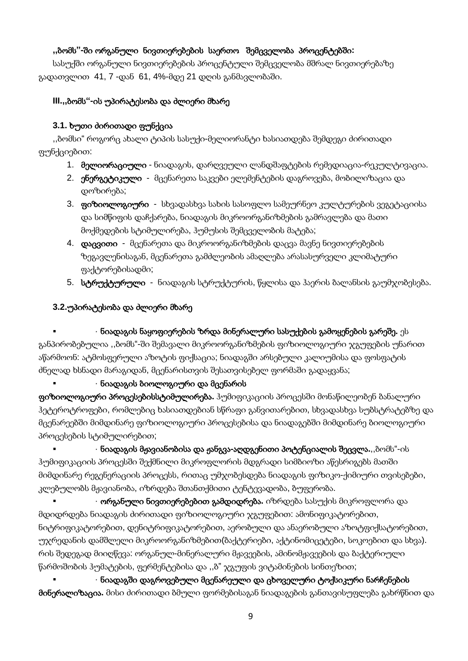### **,,**ბომს**"-**ში ორგანული ნივთიერებების საერთო შემცველობა პროცენტებში**:**

სასუქში ორგანული ნივთიერებების პროცენტული შემცველობა მშრალ ნივთიერებაზე გადათვლით 41, 7 -დან 61, 4%-მდე 21 დღის განმავლობაში.

#### **III.,,**ბომს**"-**ის უპირატესობა და ძლიერი მხარე

### **3.1.** ხუთი ძირითადი ფუნქცია

,,ბომსი" როგორც ახალი ტიპის სასუქი-მელიორანტი ხასიათდება შემდეგი ძირითადი ფუნქციებით:

- 1. მელიორაციული ნიადაგის, დარღვეული ლანდშაფტების რემედიაცია-რეკულტივაცია.
- 2. ენერგეტიკული მცენარეთა საკვები ელემენტების დაგროვება, მობილიზაცია და დოზირება;
- 3. **ფიზიოლოგიური** - სხვადასხვა სახის სასოფლო სამეურნეო კულტურების ვეგეტაციისა და სიმწიფის დაჩქარება, ნიადაგის მიკროორგანიზმების გამრავლება და მათი მოქმედების სტიმულირება, ჰუმუსის შემცველობის მატება;
- 4. დაცვითი მცენარეთა და მიკროორგანიზმების დაცვა მავნე ნივთიერებების ზეგავლენისაგან, მცენარეთა გამძლეობის ამაღლება არასასურველი კლიმატური ფაქტორებისადმი;
- 5. სტრუქტურული ნიადაგის სტრუქტურის, წყლისა და ჰაერის ბალანსის გაუმჯობესება.

### **3.2.**უპირატესობა და ძლიერი მხარე

# · ნიადაგის ნაყოფიერების ზრდა მინერალური სასუქების გამოყენების გარეშე**.** ეს

განპირობებულია ,,ბომს"-ში შემავალი მიკროორგანიზმების ფიზიოლოგიური ჯგუფების უნარით აწარმოონ: ატმოსფერული აზოტის ფიქსაცია; ნიადაგში არსებული კალიუმისა და ფოსფატის ძნელად ხსნადი მარაგიდან, მცენარისთვის შესათვისებელ ფორმაში გადაყვანა;

#### · ნიადაგის ბიოლოგიური და მცენარის

ფიზიოლოგიური პროცესებისსტიმულირება**.** ჰუმიფიკაციის პროცესში მონაწილეობენ ბანალური ჰეტეროტროფები, რომლებიც ხასიათდებიან სწრაფი განვითარებით, სხვადასხვა სუბსტრატებზე და მცენარეებში მიმდინარე ფიზიოლოგიური პროცესებისა და ნიადაგებში მიმდინარე ბიოლოგიური პროცესების სტიმულირებით;

 · ნიადაგის მჟავიანობისა და ჟანგვა**-**აღდგენითი პოტენციალის შეცვლა**.**,,ბომს"-ის ჰუმიფიკაციის პროცესში შექმნილი მიკროფლორის მდგრადი სიმბიოზი აწესრიგებს მათში მიმდინარე რეგენერაციის პროცესს, რითაც უმჯობესდება ნიადაგის ფიზიკო-ქიმიური თვისებები, კლებულობს მჟავიანობა, იზრდება შთანთქმითი ტენტევადობა, ბუფერობა.

 · ორგანული ნივთიერებებით გამდიდრება**.** იზრდება სასუქის მიკროფლორა და მდიდრდება ნიადაგის ძირითადი ფიზიოლოგიური ჯგუფებით: ამონიფიკატორებით, ნიტრიფიკატორებით, დენიტრიფიკატორებით, აერობული და ანაერობული აზოტფიქსატორებით, უჯრედანის დამშლელი მიკროორგანიზმებით(ბაქტერიები, აქტინომიცეტები, სოკოებით და სხვა). რის შედეგად მიიღწევა: ორგანულ-მინერალური მჟავეების, ამინომჟავეების და ბაქტერიული წარმოშობის ჰუმატების, ფერმენტებისა და ,,ბ" ჯგუფის ვიტამინების სინთეზით;

 · ნიადაგში დაგროვებული მცენარეული და ცხოველური ტოქსიკური ნარჩენების მინერალიზაცია**.** მისი ძირითადი ბმული ფორმებისაგან ნიადაგების განთავისუფლება გახრწნით და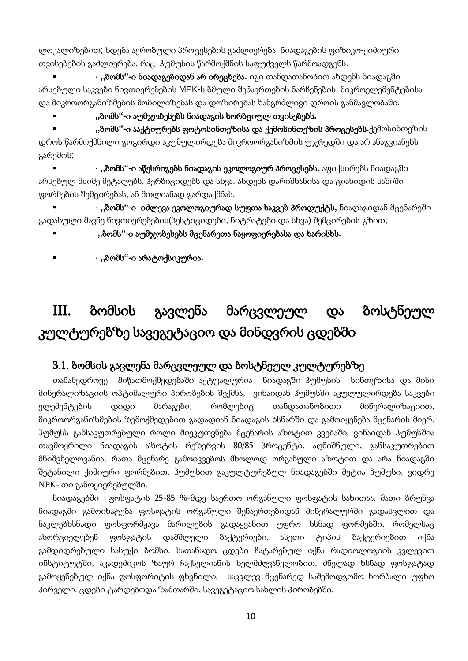ლოკალიზებით; ხდება აერობული პროცესების გაძლიერება, ნიადაგების ფიზიკო-ქიმიური თვისებების გაძლიერება, რაც ჰუმუსის წარმოქმნის საფუძველს წარმოადგენს.

 · **,,**ბომს**"-**ი ნიადაგებიდან არ ირეცხება**.** იგი თანდათანობით ახდენს ნიადაგში არსებული საკვები ნივთიერებების MPK-ს ბმული შენაერთების ნარჩენების, მიკროელემენტებისა და მიკროორგანიზმების მობილიზებას და დოზირებას ხანგრძლივი დროის განმავლობაში.

**,,**ბომს**"-**ი აუმჯობესებს ნიადაგის სორბციულ თვისებებს**.**

 **,,**ბომს**"-**ი ააქტიურებს ფოტოსინთეზისა და ქემოსინთეზის პროცესებს**.**ქემოსინთეზის დროს წარმოქმნილი გოგირდი აკუმულირდება მიკროორგანიზმის უჯრედში და არ ანაგვიანებს გარემოს;

 · **,,**ბომს**"-**ი აწესრიგებს ნიადაგის ეკოლოგიურ პროცესებს**.** აფიქსირებს ნიადაგში არსებულ მძიმე მეტალებს, ჰერბიციდებს და სხვა. ახდენს დარიშხანისა და ციანიდის საშიში ფორმების შემცირებას, ან მთლიანად გარდაქმნას.

 · **,,**ბომს**"-**ი იძლევა ეკოლოგიურად სუფთა საკვებ პროდუქტს**,** ნიადაგიდან მცენარეში გადასული მავნე ნივთიერებების(პესტიციდები, ნიტრატები და სხვა) შემცირების გზით;

**,,**ბომს**"-**ი აუმჯობესებს მცენარეთა ნაყოფიერებასა და ხარისხს**.**

· **,,**ბომს**"-**ი არატოქსიკურია**.**

# III. ბომსის გავლენა მარცვლეულ და ბოსტნეულ კულტურებზე სავეგეტაციო და მინდვრის ცდებში

# 3.1. ბომსის გავლენა მარცვლეულ და ბოსტნეულ კულტურებზე

თანამედროვე მიწათმოქმედებაში აქტუალურია ნიადაგში ჰუმუსის სინთეზისა და მისი მინერალიზაციის ოპტიმალური პირობების შექმნა, ვინაიდან ჰუმუსში აკულულირდება საკვები ელემენტების დიდი მარაგები, რომლებიც თანდათანობითი მინერალიზაციით, მიკროორგანიზმების ზემოქმედებით გადადიან ნიადაგის ხსნარში და გამოიყენება მცენარის მიერ. ჰუმუსს განსაკუთრებული როლი მიეკუთვნება მცენარის აზოტით კვებაში, ვინაიდან ჰუმუსშია თავმოყრილი ნიადაგის აზოტის რეზერვის 80/85 პროცენტი. აღნიშნული, განსაკუთრებით მნიშვნელოვანია, რათა მცენარე გამოიკვებოს მხოლოდ ორგანული აზოტით და არა ნიადაგში შეტანილი ქიმიური ფორმებით. ჰუმუსით გაკულტურებულ ნიადაგებში მეტია ჰუმუსი, ვიდრე NPK- თი განოყიერებულში.

ნიადაგებში ფოსფატის 25-85 %-მდე საერთო ორგანული ფოსფატის სახითაა. მათი ბრუნვა ნიადაგში გამოიხატება ფოსფატის ორგანული შენაერთებიდან მინერალურში გადასვლით და ნაკლებხსნადი ფოსფორმჟავა მარილების გადაყვანით უფრო ხსნად ფორმებში, რომელსაც ახორციელებენ ფოსფატის დამშლელი ბაქტერიები. ასეთი ტიპის ბაქტერიებით იქნა გამდიდრებული სასუქი ბომსი. სათანადო ცდები ჩატარებულ იქნა რადიოლოგიის კვლევით ინსტიტუტში, აკადემიკოს ზაურ ჩაქსელიანის ხელმძღვანელობით. ძნელად ხსნად ფოსფატად გამოყენებულ იქნა ფოსფორიტის ფხვნილი; საკვლევ მცენარედ საშემოდგომო ხორბალი უფხო პირველი. ცდები ტარდებოდა ზამთარში, სავეგეტაციო სახლის პირობებში.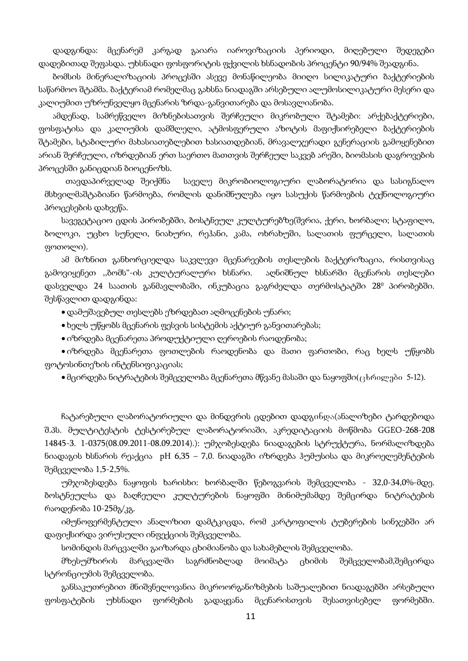დადგინდა: მცენარემ კარგად გაიარა იაროვიზაციის პერიოდი, მიღებული შედეგები დადებითად შეფასდა. უხსნადი ფოსფორიტის ფქვილის ხსნადობის პროცენტი 90/94% შეადგინა.

ბომსის მინერალიზაციის პროცესში ასევე მონაწილეობა მიიღო სილიკატური ბაქტერიების საწარმოო შტამმა. ბაქტერიამ რომელმაც გახსნა ნიადაგში არსებული ალუმოსილიკატური მესერი და კალიუმით უზრუნველყო მცენარის ზრდა-განვითარება და მოსავლიანობა.

ამდენად, სამრეწველო მიზნებისათვის შერჩეული მიკრობული შტამები: არქებაქტერიები, ფოსფატისა და კალიუმის დამშლელი, ატმოსფერული აზოტის მაფიქსირებელი ბაქტერიების შტამები, სტაბილური მახასიათებლებით ხასიათდებიან, მრავალჯერადი გენერაციის გამოყენებით არიან შერჩეული, იზრდებიან ერთ საერთო მათთვის შერჩეულ საკვებ არეში, ბიომასის დაგროვების პროცესში განიცდიან ბიოცენოზს.

 თავდაპირველად შეიქმნა საველე მიკრობიოლოგიური ლაბორატორია და სასიგნალო მსხვილმაშტაბიანი წარმოება, რომლის დანიშნულება იყო სასუქის წარმოების ტექნოლოგიური პროცესების დახვეწა.

სავეგეტაციო ცდის პირობებში, ბოსტნეულ კულტურებზე(შვრია, ქერი, ხორბალი; სტაფილო, ბოლოკი, უცხო სუნელი, ნიახური, რეჰანი, კამა, ოხრახუში, სალათის ფურცელი, სალათის ფოთოლი).

ამ მიზნით განხორციელდა საკვლევი მცენარეების თესლების ბაქტერიზაცია, რისთვისაც გამოვიყენეთ ,,ბომს"-ის კულტურალური ხსნარი. აღნიშნულ ხსნარში მცენარის თესლები დასველდა 24 საათის განმავლობაში, ინკუბაცია გაგრძელდა თერმოსტატში 280 პირობებში. შესწავლით დადგინდა:

დამუშავებულ თესლებს ეზრდებათ აღმოცენების უნარი;

ხელს უწყობს მცენარის ფესვის სისტემის აქტიურ განვითარებას;

იზრდება მცენარეთა პროდუქტიული ღეროების რაოდენობა;

 იზრდება მცენარეთა ფოთლების რაოდენობა და მათი ფართობი, რაც ხელს უწყობს ფოტოსინთეზის ინტენსიფიკაციას;

 $\bullet$  მცირდება ნიტრატების შემცველობა მცენარეთა მწვანე მასაში და ნაყოფში $(\epsilon_1$ ხრილები 5-12).

ჩატარებული ლაბორატორიული და მინდვრის ცდებით დადგინდა(ანალიზები ტარდებოდა შ.პს. მულტიტესტის ტესტირებულ ლაბორატორიაში, აკრედიტაციის მოწმობა GGEO-268-208 14845-3. 1-0375(08.09.2011-08.09.2014).): უმჯობესდება ნიადაგების სტრუქტურა, ნორმალიზდება ნიადაგის ხსნარის რეაქცია pH 6,35 – 7,0. ნიადაგში იზრდება ჰუმუსისა და მიკროელემენტების შემცველობა 1,5-2,5%.

უმჯობესდება ნაყოფის ხარისხი: ხორბალში წებოგვარის შემცველობა - 32,0-34,0%-მდე. ბოსტნეულსა და ბაღჩეული კულტურების ნაყოფში მინიმუმამდე შემცირდა ნიტრატების რაოდენობა 10-25მგ/კგ.

იმუნოფერმენტული ანალიზით დამტკიცდა, რომ კარტოფილის ტუბერების სინჯებში არ დაფიქსირდა ვირუსული ინფექციის შემცველობა.

სომინდის მარცვალში გაიზარდა ცხიმიანობა და სახამებლის შემცველობა.

მზესუმზირის მარცვალში საგრძნობლად მოიმატა ცხიმის შემცველობამ,შემცირდა სტრონციუმის შემცველობა.

განსაკუთრებით მნიშვნელოვანია მიკროორგანიზმების საშუალებით ნიადაგებში არსებული ფოსფატების უხსნადი ფორმების გადაყვანა მცენარისთვის შესათვისებელ ფორმებში.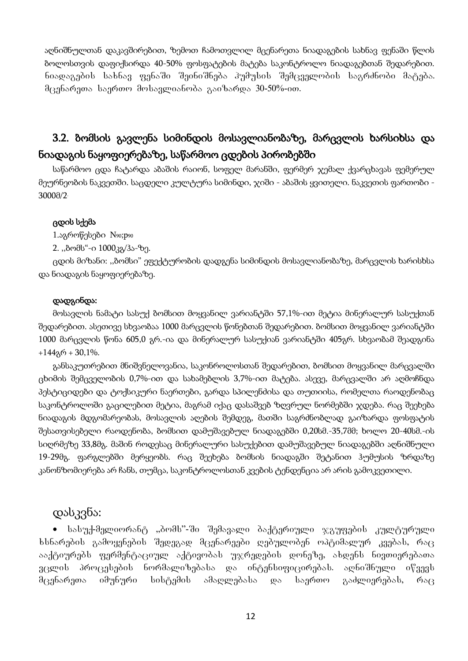აღნიშნულთან დაკავშირებით, ზემოთ ჩამოთვლილ მცენარეთა ნიადაგების სახნავ ფენაში წლის ბოლოსთვის დაფიქსირდა 40-50% ფოსფატების მატება საკონტროლო ნიადაგებთან შედარებით. ნიადაგების სახნავ ფენაში შეინიშნება პუმუსის შემცველობის საგრძნობი მატება. შცენარეთა საერთო მოსავლიანობა გაიზარდა 30-50%-ით.

# 3.2. ბომსის გავლენა სიმინდის მოსავლიანობაზე, მარცვლის ხარსიხსა და ნიადაგის ნაყოფიერებაზე, საწარმოო ცდების პირობებში

საწარმოო ცდა ჩატარდა აბაშის რაიონ, სოფელ მარანში, ფერმერ ჯემალ ქვარცხავას ფემერულ მეურნეობის ნაკვეთში. საცდელი კულტურა სიმინდი, ჯიში - აბაშის ყვითელი. ნაკვეთის ფართობი - 3000მ/2.

#### ცდის სქემა

1.აგროწესები N90;p90

2. ,,ბომს"-ი 1000კგ/ჰა-ზე.

ცდის მიზანი: ,,ბომსი" ეფექტურობის დადგენა სიმინდის მოსავლიანობაზე, მარცვლის ხარისხსა და ნიადაგის ნაყოფიერებაზე.

#### დადგინდა:

მოსავლის ნამატი სასუქ ბომსით მოყვანილ ვარიანტში 57,1%-ით მეტია მინერალურ სასუქთან შედარებით. ასეთივე სხვაობაა 1000 მარცვლის წონებთან შედარებით. ბომსით მოყვანილ ვარიანტში 1000 მარცვლის წონა 605,0 გრ.-ია და მინერალურ სასუქიან ვარიანტში 405გრ. სხვაობამ შეადგინა  $+144$ გრ + 30,1%.

განსაკუთრებით მნიშვნელოვანია, საკონროლოსთან შედარებით, ბომსით მოყვანილ მარცვალში ცხიმის შემცველობის 0,7%-ით და სახამებლის 3,7%-ით მატება. ასევე, მარცვალში არ აღმოჩნდა პესტიციდები და ტოქსიკური ნაერთები, გარდა სპილენძისა და თუთიისა, რომელთა რაოდენობაც საკონტროლოში გაცილებით მეტია, მაგრამ იქაც დასაშვებ ზღვრულ ნორმებში ჯდება. რაც შეეხება ნიადაგის მდგომარეობას, მოსავლის აღების შემდეგ, მათში საგრძნობლად გაიზარდა ფოსფატის შესათვისებელი რაოდენობა, ბომსით დამუშავებულ ნიადაგებში 0,20სმ.-35,7მმ; ხოლო 20-40სმ.-ის სიღრმეზე 33,8მგ. მაშინ როდესაც მინერალური სასუქებით დამუშავებულ ნიადაგებში აღნიშნული 19-29მგ. ფარგლებში მერყეობს. რაც შეეხება ბომსის ნიადაგში შეტანით ჰუმუსის ზრდაზე კანონზომიერება არ ჩანს, თუმცა, საკონტროლოსთან კვების ტენდენცია არ არის გამოკვეთილი.

# დასკვნა:

 $\bullet$  სასუქ-მელიორანტ "პომს"-ში შემავალი ბაქტერიული ჯგუფების კულტურული  $b$ სნარების გამოყენების შედეგად მცენარეები ღებულობენ ოპტიმალურ კვებას, რა $\overline{\mathrm{g}}$ ააქტიურებს ფერმენტაციულ აქტივობას უჯრედების დონეზე, ახდენს ნივთიერებათა ვცლის პროცესების ნორმალიზებასა და ინტენსიფიცირებას. აღნიშნული იწვევს მცენარეთა იმუნური სისტემის ამაღლებასა და საერთო გაძლიერებას, რაც